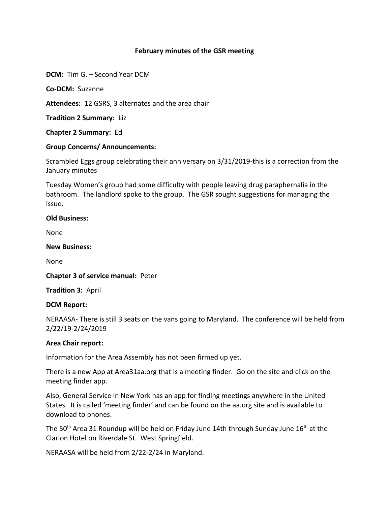# **February minutes of the GSR meeting**

**DCM:** Tim G. – Second Year DCM

**Co-DCM:** Suzanne

**Attendees:** 12 GSRS, 3 alternates and the area chair

**Tradition 2 Summary:** Liz

**Chapter 2 Summary:** Ed

# **Group Concerns/ Announcements:**

Scrambled Eggs group celebrating their anniversary on 3/31/2019-this is a correction from the January minutes

Tuesday Women's group had some difficulty with people leaving drug paraphernalia in the bathroom. The landlord spoke to the group. The GSR sought suggestions for managing the issue.

# **Old Business:**

None

# **New Business:**

None

**Chapter 3 of service manual:** Peter

**Tradition 3:** April

# **DCM Report:**

NERAASA- There is still 3 seats on the vans going to Maryland. The conference will be held from 2/22/19-2/24/2019

# **Area Chair report:**

Information for the Area Assembly has not been firmed up yet.

There is a new App at Area31aa.org that is a meeting finder. Go on the site and click on the meeting finder app.

Also, General Service in New York has an app for finding meetings anywhere in the United States. It is called 'meeting finder' and can be found on the aa.org site and is available to download to phones.

The 50<sup>th</sup> Area 31 Roundup will be held on Friday June 14th through Sunday June 16<sup>th</sup> at the Clarion Hotel on Riverdale St. West Springfield.

NERAASA will be held from 2/22-2/24 in Maryland.